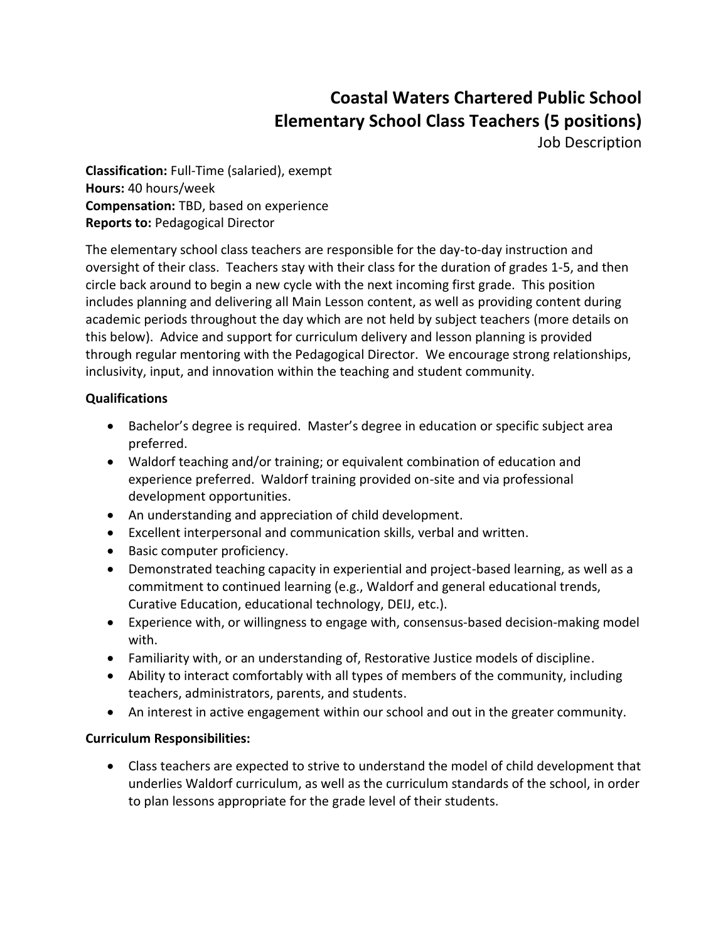# **Coastal Waters Chartered Public School Elementary School Class Teachers (5 positions)**

Job Description

**Classification:** Full-Time (salaried), exempt **Hours:** 40 hours/week **Compensation:** TBD, based on experience **Reports to:** Pedagogical Director

The elementary school class teachers are responsible for the day-to-day instruction and oversight of their class. Teachers stay with their class for the duration of grades 1-5, and then circle back around to begin a new cycle with the next incoming first grade. This position includes planning and delivering all Main Lesson content, as well as providing content during academic periods throughout the day which are not held by subject teachers (more details on this below). Advice and support for curriculum delivery and lesson planning is provided through regular mentoring with the Pedagogical Director. We encourage strong relationships, inclusivity, input, and innovation within the teaching and student community.

### **Qualifications**

- Bachelor's degree is required. Master's degree in education or specific subject area preferred.
- Waldorf teaching and/or training; or equivalent combination of education and experience preferred. Waldorf training provided on-site and via professional development opportunities.
- An understanding and appreciation of child development.
- Excellent interpersonal and communication skills, verbal and written.
- Basic computer proficiency.
- Demonstrated teaching capacity in experiential and project-based learning, as well as a commitment to continued learning (e.g., Waldorf and general educational trends, Curative Education, educational technology, DEIJ, etc.).
- Experience with, or willingness to engage with, consensus-based decision-making model with.
- Familiarity with, or an understanding of, Restorative Justice models of discipline.
- Ability to interact comfortably with all types of members of the community, including teachers, administrators, parents, and students.
- An interest in active engagement within our school and out in the greater community.

### **Curriculum Responsibilities:**

• Class teachers are expected to strive to understand the model of child development that underlies Waldorf curriculum, as well as the curriculum standards of the school, in order to plan lessons appropriate for the grade level of their students.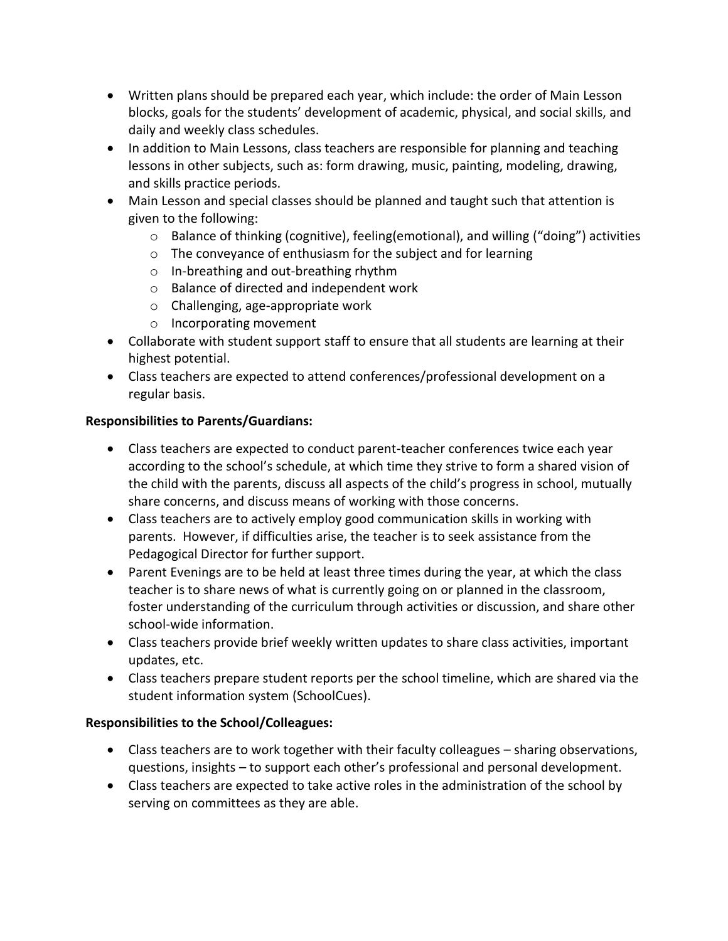- Written plans should be prepared each year, which include: the order of Main Lesson blocks, goals for the students' development of academic, physical, and social skills, and daily and weekly class schedules.
- In addition to Main Lessons, class teachers are responsible for planning and teaching lessons in other subjects, such as: form drawing, music, painting, modeling, drawing, and skills practice periods.
- Main Lesson and special classes should be planned and taught such that attention is given to the following:
	- $\circ$  Balance of thinking (cognitive), feeling (emotional), and willing ("doing") activities
	- o The conveyance of enthusiasm for the subject and for learning
	- o In-breathing and out-breathing rhythm
	- o Balance of directed and independent work
	- o Challenging, age-appropriate work
	- o Incorporating movement
- Collaborate with student support staff to ensure that all students are learning at their highest potential.
- Class teachers are expected to attend conferences/professional development on a regular basis.

# **Responsibilities to Parents/Guardians:**

- Class teachers are expected to conduct parent-teacher conferences twice each year according to the school's schedule, at which time they strive to form a shared vision of the child with the parents, discuss all aspects of the child's progress in school, mutually share concerns, and discuss means of working with those concerns.
- Class teachers are to actively employ good communication skills in working with parents. However, if difficulties arise, the teacher is to seek assistance from the Pedagogical Director for further support.
- Parent Evenings are to be held at least three times during the year, at which the class teacher is to share news of what is currently going on or planned in the classroom, foster understanding of the curriculum through activities or discussion, and share other school-wide information.
- Class teachers provide brief weekly written updates to share class activities, important updates, etc.
- Class teachers prepare student reports per the school timeline, which are shared via the student information system (SchoolCues).

# **Responsibilities to the School/Colleagues:**

- Class teachers are to work together with their faculty colleagues sharing observations, questions, insights – to support each other's professional and personal development.
- Class teachers are expected to take active roles in the administration of the school by serving on committees as they are able.